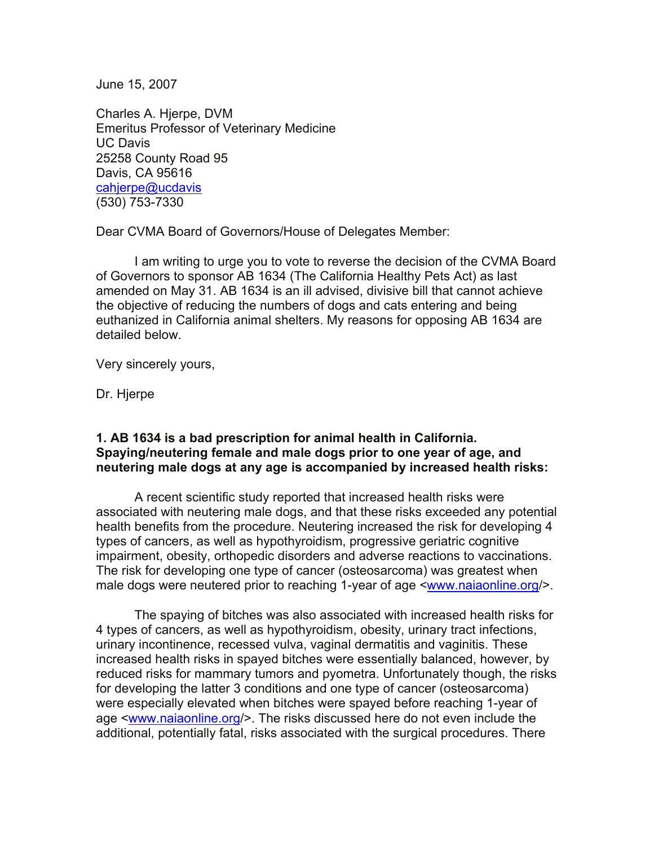June 15, 2007

Charles A. Hjerpe, DVM Emeritus Professor of Veterinary Medicine UC Davis 25258 County Road 95 Davis, CA 95616 [cahjerpe@ucdavis](mailto:cahjerpe@ucdavis) (530) 753-7330

Dear CVMA Board of Governors/House of Delegates Member:

I am writing to urge you to vote to reverse the decision of the CVMA Board of Governors to sponsor AB 1634 (The California Healthy Pets Act) as last amended on May 31. AB 1634 is an ill advised, divisive bill that cannot achieve the objective of reducing the numbers of dogs and cats entering and being euthanized in California animal shelters. My reasons for opposing AB 1634 are detailed below.

Very sincerely yours,

Dr. Hjerpe

## **1. AB 1634 is a bad prescription for animal health in California. Spaying/neutering female and male dogs prior to one year of age, and neutering male dogs at any age is accompanied by increased health risks:**

A recent scientific study reported that increased health risks were associated with neutering male dogs, and that these risks exceeded any potential health benefits from the procedure. Neutering increased the risk for developing 4 types of cancers, as well as hypothyroidism, progressive geriatric cognitive impairment, obesity, orthopedic disorders and adverse reactions to vaccinations. The risk for developing one type of cancer (osteosarcoma) was greatest when male dogs were neutered prior to reaching 1-year of age <[www.naiaonline.org/](http://www.naiaonline.org/)>.

The spaying of bitches was also associated with increased health risks for 4 types of cancers, as well as hypothyroidism, obesity, urinary tract infections, urinary incontinence, recessed vulva, vaginal dermatitis and vaginitis. These increased health risks in spayed bitches were essentially balanced, however, by reduced risks for mammary tumors and pyometra. Unfortunately though, the risks for developing the latter 3 conditions and one type of cancer (osteosarcoma) were especially elevated when bitches were spayed before reaching 1-year of age [<www.naiaonline.org](http://www.naiaonline.org/)/>. The risks discussed here do not even include the additional, potentially fatal, risks associated with the surgical procedures. There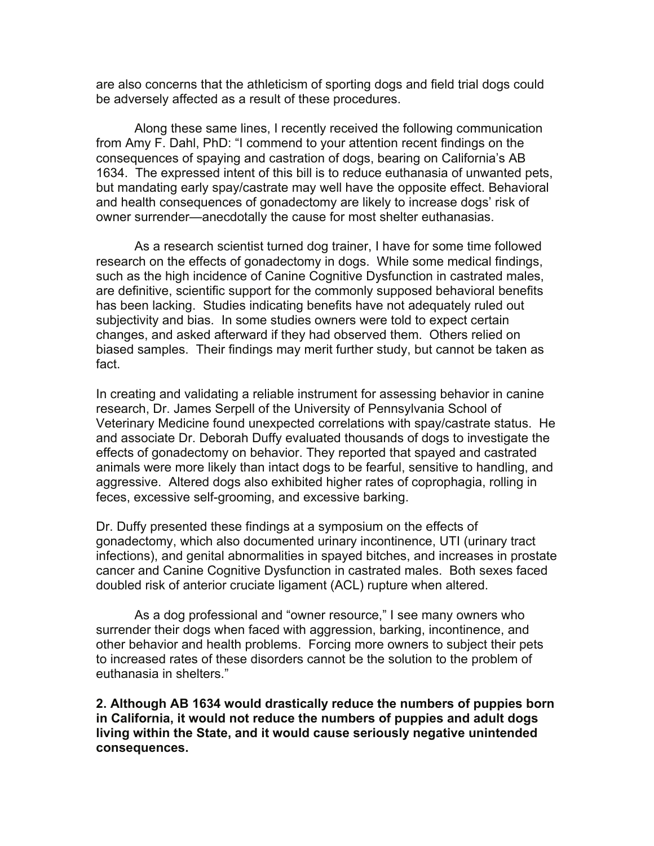are also concerns that the athleticism of sporting dogs and field trial dogs could be adversely affected as a result of these procedures.

Along these same lines, I recently received the following communication from Amy F. Dahl, PhD: "I commend to your attention recent findings on the consequences of spaying and castration of dogs, bearing on California's AB 1634. The expressed intent of this bill is to reduce euthanasia of unwanted pets, but mandating early spay/castrate may well have the opposite effect. Behavioral and health consequences of gonadectomy are likely to increase dogs' risk of owner surrender—anecdotally the cause for most shelter euthanasias.

As a research scientist turned dog trainer, I have for some time followed research on the effects of gonadectomy in dogs. While some medical findings, such as the high incidence of Canine Cognitive Dysfunction in castrated males, are definitive, scientific support for the commonly supposed behavioral benefits has been lacking. Studies indicating benefits have not adequately ruled out subjectivity and bias. In some studies owners were told to expect certain changes, and asked afterward if they had observed them. Others relied on biased samples. Their findings may merit further study, but cannot be taken as fact.

In creating and validating a reliable instrument for assessing behavior in canine research, Dr. James Serpell of the University of Pennsylvania School of Veterinary Medicine found unexpected correlations with spay/castrate status. He and associate Dr. Deborah Duffy evaluated thousands of dogs to investigate the effects of gonadectomy on behavior. They reported that spayed and castrated animals were more likely than intact dogs to be fearful, sensitive to handling, and aggressive. Altered dogs also exhibited higher rates of coprophagia, rolling in feces, excessive self-grooming, and excessive barking.

Dr. Duffy presented these findings at a symposium on the effects of gonadectomy, which also documented urinary incontinence, UTI (urinary tract infections), and genital abnormalities in spayed bitches, and increases in prostate cancer and Canine Cognitive Dysfunction in castrated males. Both sexes faced doubled risk of anterior cruciate ligament (ACL) rupture when altered.

As a dog professional and "owner resource," I see many owners who surrender their dogs when faced with aggression, barking, incontinence, and other behavior and health problems. Forcing more owners to subject their pets to increased rates of these disorders cannot be the solution to the problem of euthanasia in shelters."

**2. Although AB 1634 would drastically reduce the numbers of puppies born in California, it would not reduce the numbers of puppies and adult dogs living within the State, and it would cause seriously negative unintended consequences.**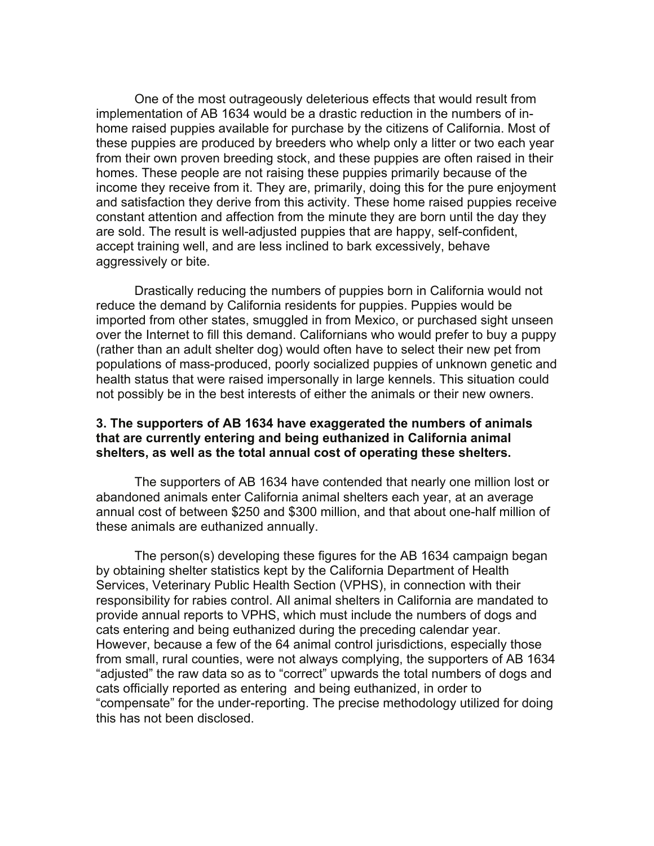One of the most outrageously deleterious effects that would result from implementation of AB 1634 would be a drastic reduction in the numbers of inhome raised puppies available for purchase by the citizens of California. Most of these puppies are produced by breeders who whelp only a litter or two each year from their own proven breeding stock, and these puppies are often raised in their homes. These people are not raising these puppies primarily because of the income they receive from it. They are, primarily, doing this for the pure enjoyment and satisfaction they derive from this activity. These home raised puppies receive constant attention and affection from the minute they are born until the day they are sold. The result is well-adjusted puppies that are happy, self-confident, accept training well, and are less inclined to bark excessively, behave aggressively or bite.

Drastically reducing the numbers of puppies born in California would not reduce the demand by California residents for puppies. Puppies would be imported from other states, smuggled in from Mexico, or purchased sight unseen over the Internet to fill this demand. Californians who would prefer to buy a puppy (rather than an adult shelter dog) would often have to select their new pet from populations of mass-produced, poorly socialized puppies of unknown genetic and health status that were raised impersonally in large kennels. This situation could not possibly be in the best interests of either the animals or their new owners.

## **3. The supporters of AB 1634 have exaggerated the numbers of animals that are currently entering and being euthanized in California animal shelters, as well as the total annual cost of operating these shelters.**

The supporters of AB 1634 have contended that nearly one million lost or abandoned animals enter California animal shelters each year, at an average annual cost of between \$250 and \$300 million, and that about one-half million of these animals are euthanized annually.

The person(s) developing these figures for the AB 1634 campaign began by obtaining shelter statistics kept by the California Department of Health Services, Veterinary Public Health Section (VPHS), in connection with their responsibility for rabies control. All animal shelters in California are mandated to provide annual reports to VPHS, which must include the numbers of dogs and cats entering and being euthanized during the preceding calendar year. However, because a few of the 64 animal control jurisdictions, especially those from small, rural counties, were not always complying, the supporters of AB 1634 "adjusted" the raw data so as to "correct" upwards the total numbers of dogs and cats officially reported as entering and being euthanized, in order to "compensate" for the under-reporting. The precise methodology utilized for doing this has not been disclosed.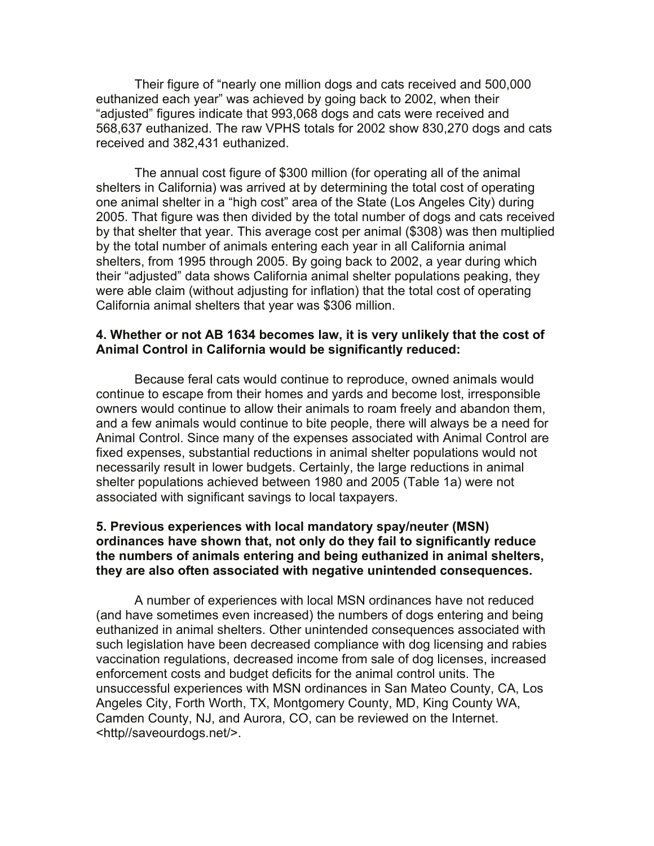Their figure of "nearly one million dogs and cats received and 500,000 euthanized each year" was achieved by going back to 2002, when their "adjusted" figures indicate that 993,068 dogs and cats were received and 568,637 euthanized. The raw VPHS totals for 2002 show 830,270 dogs and cats received and 382,431 euthanized.

The annual cost figure of \$300 million (for operating all of the animal shelters in California) was arrived at by determining the total cost of operating one animal shelter in a "high cost" area of the State (Los Angeles City) during 2005. That figure was then divided by the total number of dogs and cats received by that shelter that year. This average cost per animal (\$308) was then multiplied by the total number of animals entering each year in all California animal shelters, from 1995 through 2005. By going back to 2002, a year during which their "adjusted" data shows California animal shelter populations peaking, they were able claim (without adjusting for inflation) that the total cost of operating California animal shelters that year was \$306 million.

#### **4. Whether or not AB 1634 becomes law, it is very unlikely that the cost of Animal Control in California would be significantly reduced:**

Because feral cats would continue to reproduce, owned animals would continue to escape from their homes and yards and become lost, irresponsible owners would continue to allow their animals to roam freely and abandon them, and a few animals would continue to bite people, there will always be a need for Animal Control. Since many of the expenses associated with Animal Control are fixed expenses, substantial reductions in animal shelter populations would not necessarily result in lower budgets. Certainly, the large reductions in animal shelter populations achieved between 1980 and 2005 (Table 1a) were not associated with significant savings to local taxpayers.

## **5. Previous experiences with local mandatory spay/neuter (MSN) ordinances have shown that, not only do they fail to significantly reduce the numbers of animals entering and being euthanized in animal shelters, they are also often associated with negative unintended consequences.**

A number of experiences with local MSN ordinances have not reduced (and have sometimes even increased) the numbers of dogs entering and being euthanized in animal shelters. Other unintended consequences associated with such legislation have been decreased compliance with dog licensing and rabies vaccination regulations, decreased income from sale of dog licenses, increased enforcement costs and budget deficits for the animal control units. The unsuccessful experiences with MSN ordinances in San Mateo County, CA, Los Angeles City, Forth Worth, TX, Montgomery County, MD, King County WA, Camden County, NJ, and Aurora, CO, can be reviewed on the Internet. <http//saveourdogs.net/>.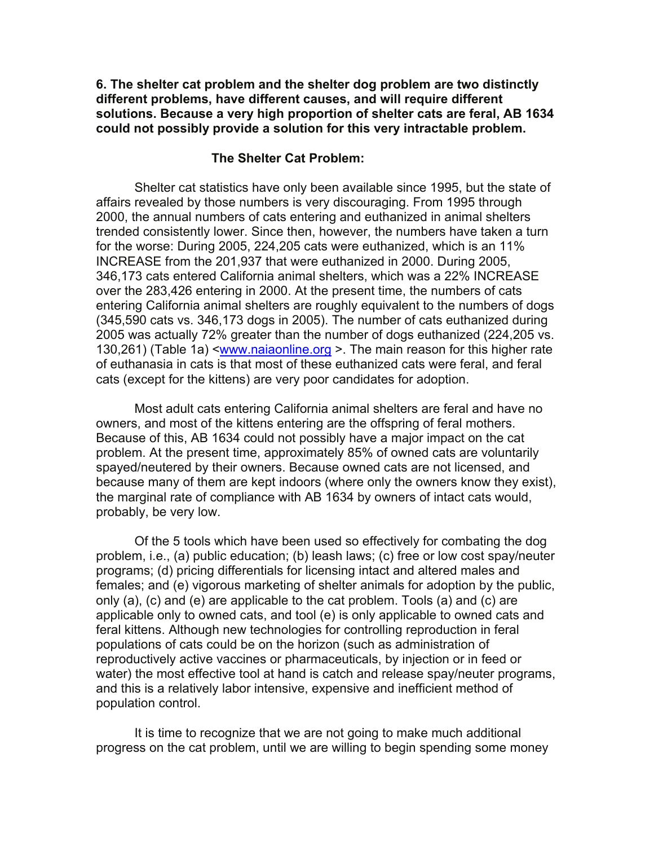**6. The shelter cat problem and the shelter dog problem are two distinctly different problems, have different causes, and will require different solutions. Because a very high proportion of shelter cats are feral, AB 1634 could not possibly provide a solution for this very intractable problem.** 

#### **The Shelter Cat Problem:**

Shelter cat statistics have only been available since 1995, but the state of affairs revealed by those numbers is very discouraging. From 1995 through 2000, the annual numbers of cats entering and euthanized in animal shelters trended consistently lower. Since then, however, the numbers have taken a turn for the worse: During 2005, 224,205 cats were euthanized, which is an 11% INCREASE from the 201,937 that were euthanized in 2000. During 2005, 346,173 cats entered California animal shelters, which was a 22% INCREASE over the 283,426 entering in 2000. At the present time, the numbers of cats entering California animal shelters are roughly equivalent to the numbers of dogs (345,590 cats vs. 346,173 dogs in 2005). The number of cats euthanized during 2005 was actually 72% greater than the number of dogs euthanized (224,205 vs. 130,261) (Table 1a) <[www.naiaonline.org](http://www.naiaonline.org/) >. The main reason for this higher rate of euthanasia in cats is that most of these euthanized cats were feral, and feral cats (except for the kittens) are very poor candidates for adoption.

Most adult cats entering California animal shelters are feral and have no owners, and most of the kittens entering are the offspring of feral mothers. Because of this, AB 1634 could not possibly have a major impact on the cat problem. At the present time, approximately 85% of owned cats are voluntarily spayed/neutered by their owners. Because owned cats are not licensed, and because many of them are kept indoors (where only the owners know they exist), the marginal rate of compliance with AB 1634 by owners of intact cats would, probably, be very low.

Of the 5 tools which have been used so effectively for combating the dog problem, i.e., (a) public education; (b) leash laws; (c) free or low cost spay/neuter programs; (d) pricing differentials for licensing intact and altered males and females; and (e) vigorous marketing of shelter animals for adoption by the public, only (a), (c) and (e) are applicable to the cat problem. Tools (a) and (c) are applicable only to owned cats, and tool (e) is only applicable to owned cats and feral kittens. Although new technologies for controlling reproduction in feral populations of cats could be on the horizon (such as administration of reproductively active vaccines or pharmaceuticals, by injection or in feed or water) the most effective tool at hand is catch and release spay/neuter programs, and this is a relatively labor intensive, expensive and inefficient method of population control.

It is time to recognize that we are not going to make much additional progress on the cat problem, until we are willing to begin spending some money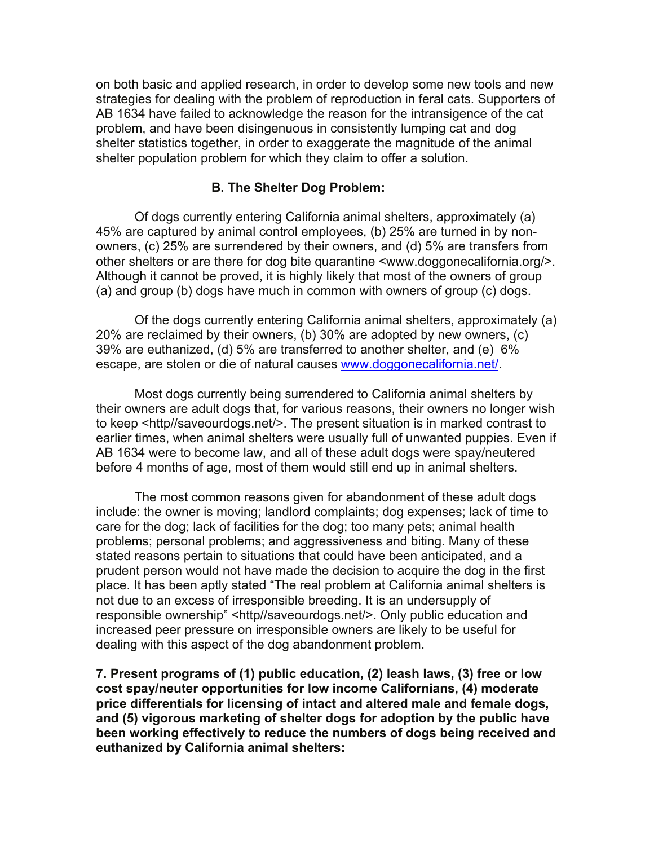on both basic and applied research, in order to develop some new tools and new strategies for dealing with the problem of reproduction in feral cats. Supporters of AB 1634 have failed to acknowledge the reason for the intransigence of the cat problem, and have been disingenuous in consistently lumping cat and dog shelter statistics together, in order to exaggerate the magnitude of the animal shelter population problem for which they claim to offer a solution.

## **B. The Shelter Dog Problem:**

Of dogs currently entering California animal shelters, approximately (a) 45% are captured by animal control employees, (b) 25% are turned in by nonowners, (c) 25% are surrendered by their owners, and (d) 5% are transfers from other shelters or are there for dog bite quarantine <www.doggonecalifornia.org/>. Although it cannot be proved, it is highly likely that most of the owners of group (a) and group (b) dogs have much in common with owners of group (c) dogs.

Of the dogs currently entering California animal shelters, approximately (a) 20% are reclaimed by their owners, (b) 30% are adopted by new owners, (c) 39% are euthanized, (d) 5% are transferred to another shelter, and (e) 6% escape, are stolen or die of natural causes [www.doggonecalifornia.net/.](http://www.doggonecalifornia.net/)

Most dogs currently being surrendered to California animal shelters by their owners are adult dogs that, for various reasons, their owners no longer wish to keep <http//saveourdogs.net/>. The present situation is in marked contrast to earlier times, when animal shelters were usually full of unwanted puppies. Even if AB 1634 were to become law, and all of these adult dogs were spay/neutered before 4 months of age, most of them would still end up in animal shelters.

The most common reasons given for abandonment of these adult dogs include: the owner is moving; landlord complaints; dog expenses; lack of time to care for the dog; lack of facilities for the dog; too many pets; animal health problems; personal problems; and aggressiveness and biting. Many of these stated reasons pertain to situations that could have been anticipated, and a prudent person would not have made the decision to acquire the dog in the first place. It has been aptly stated "The real problem at California animal shelters is not due to an excess of irresponsible breeding. It is an undersupply of responsible ownership" <http//saveourdogs.net/>. Only public education and increased peer pressure on irresponsible owners are likely to be useful for dealing with this aspect of the dog abandonment problem.

**7. Present programs of (1) public education, (2) leash laws, (3) free or low cost spay/neuter opportunities for low income Californians, (4) moderate price differentials for licensing of intact and altered male and female dogs, and (5) vigorous marketing of shelter dogs for adoption by the public have been working effectively to reduce the numbers of dogs being received and euthanized by California animal shelters:**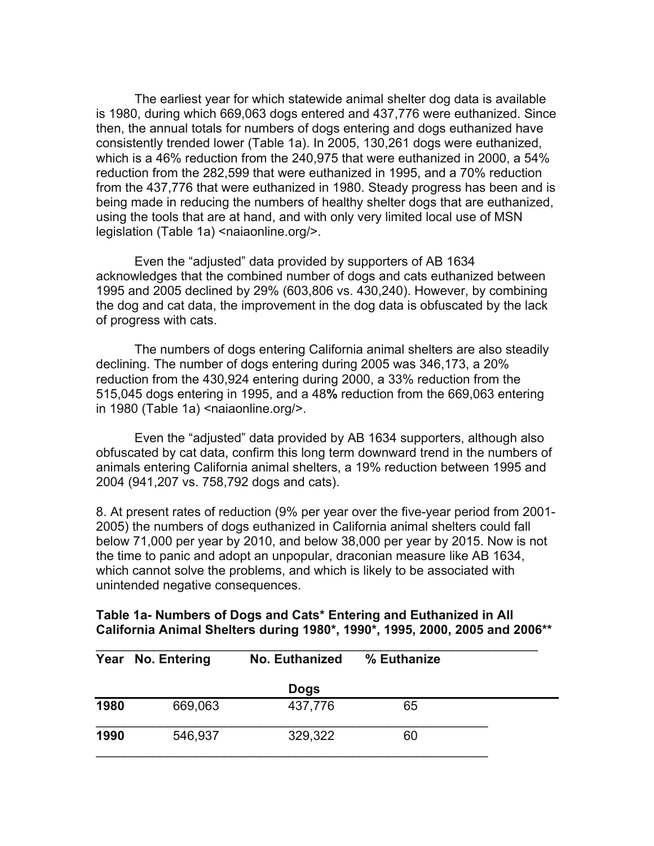The earliest year for which statewide animal shelter dog data is available is 1980, during which 669,063 dogs entered and 437,776 were euthanized. Since then, the annual totals for numbers of dogs entering and dogs euthanized have consistently trended lower (Table 1a). In 2005, 130,261 dogs were euthanized, which is a 46% reduction from the 240,975 that were euthanized in 2000, a 54% reduction from the 282,599 that were euthanized in 1995, and a 70% reduction from the 437,776 that were euthanized in 1980. Steady progress has been and is being made in reducing the numbers of healthy shelter dogs that are euthanized, using the tools that are at hand, and with only very limited local use of MSN legislation (Table 1a) <naiaonline.org/>.

Even the "adjusted" data provided by supporters of AB 1634 acknowledges that the combined number of dogs and cats euthanized between 1995 and 2005 declined by 29% (603,806 vs. 430,240). However, by combining the dog and cat data, the improvement in the dog data is obfuscated by the lack of progress with cats.

The numbers of dogs entering California animal shelters are also steadily declining. The number of dogs entering during 2005 was 346,173, a 20% reduction from the 430,924 entering during 2000, a 33% reduction from the 515,045 dogs entering in 1995, and a 48**%** reduction from the 669,063 entering in 1980 (Table 1a) <naiaonline.org/>.

Even the "adjusted" data provided by AB 1634 supporters, although also obfuscated by cat data, confirm this long term downward trend in the numbers of animals entering California animal shelters, a 19% reduction between 1995 and 2004 (941,207 vs. 758,792 dogs and cats).

8. At present rates of reduction (9% per year over the five-year period from 2001- 2005) the numbers of dogs euthanized in California animal shelters could fall below 71,000 per year by 2010, and below 38,000 per year by 2015. Now is not the time to panic and adopt an unpopular, draconian measure like AB 1634, which cannot solve the problems, and which is likely to be associated with unintended negative consequences.

# **Table 1a- Numbers of Dogs and Cats\* Entering and Euthanized in All California Animal Shelters during 1980\*, 1990\*, 1995, 2000, 2005 and 2006\*\***

|      | Year No. Entering | No. Euthanized | % Euthanize |  |
|------|-------------------|----------------|-------------|--|
|      |                   | <b>Dogs</b>    |             |  |
| 1980 | 669,063           | 437,776        | 65          |  |
| 1990 | 546,937           | 329,322        | 60          |  |